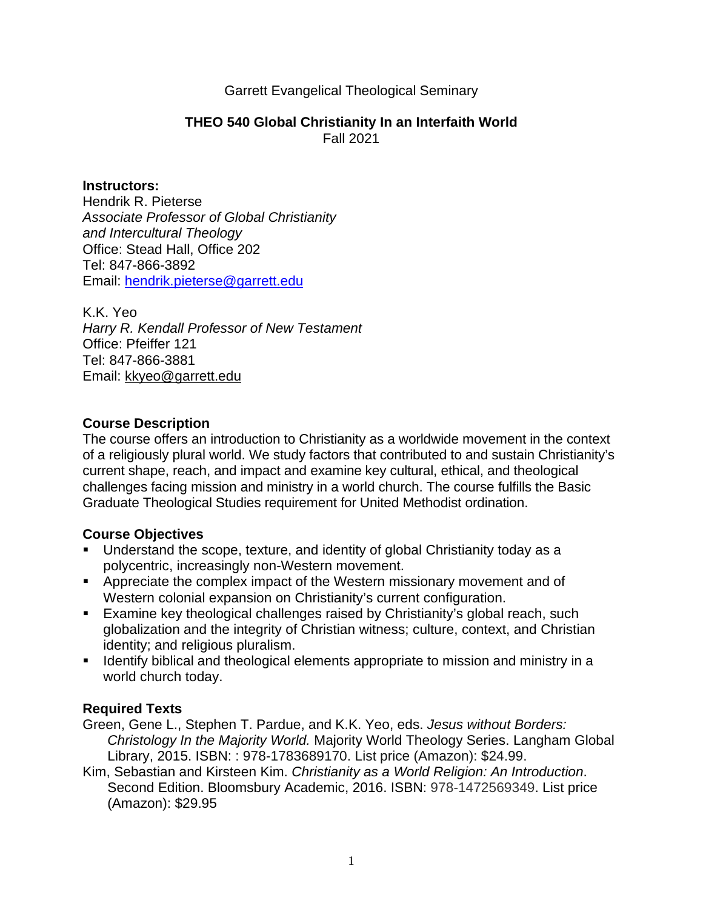#### Garrett Evangelical Theological Seminary

#### **THEO 540 Global Christianity In an Interfaith World** Fall 2021

#### **Instructors:**

Hendrik R. Pieterse Associate Professor of Global Christianity and Intercultural Theology Office: Stead Hall, Office 202 Tel: 847-866-3892 Email: hendrik.pieterse@garrett.edu

K.K. Yeo Harry R. Kendall Professor of New Testament Office: Pfeiffer 121 Tel: 847-866-3881 Email: kkyeo@garrett.edu

#### **Course Description**

The course offers an introduction to Christianity as a worldwide movement in the context of a religiously plural world. We study factors that contributed to and sustain Christianity's current shape, reach, and impact and examine key cultural, ethical, and theological challenges facing mission and ministry in a world church. The course fulfills the Basic Graduate Theological Studies requirement for United Methodist ordination.

#### **Course Objectives**

- Understand the scope, texture, and identity of global Christianity today as a polycentric, increasingly non-Western movement.
- **Appreciate the complex impact of the Western missionary movement and of** Western colonial expansion on Christianity's current configuration.
- Examine key theological challenges raised by Christianity's global reach, such globalization and the integrity of Christian witness; culture, context, and Christian identity; and religious pluralism.
- **IDENTIFY** 1 Identify biblical and theological elements appropriate to mission and ministry in a world church today.

#### **Required Texts**

Green, Gene L., Stephen T. Pardue, and K.K. Yeo, eds. Jesus without Borders: Christology In the Majority World. Majority World Theology Series. Langham Global Library, 2015. ISBN: : 978-1783689170. List price (Amazon): \$24.99.

Kim, Sebastian and Kirsteen Kim. Christianity as a World Religion: An Introduction. Second Edition. Bloomsbury Academic, 2016. ISBN: 978-1472569349. List price (Amazon): \$29.95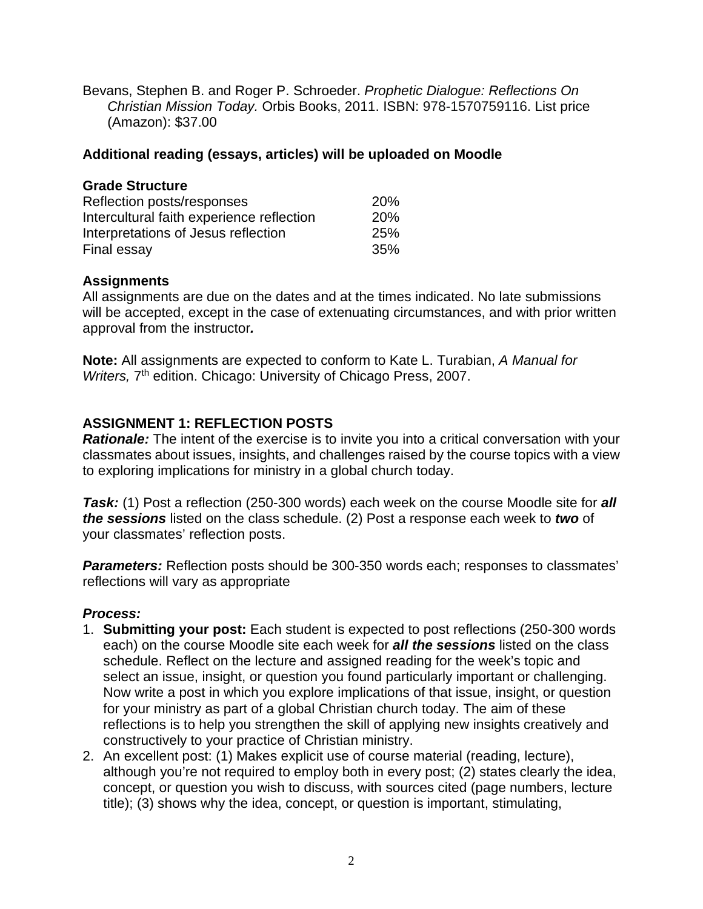Bevans, Stephen B. and Roger P. Schroeder. Prophetic Dialogue: Reflections On Christian Mission Today. Orbis Books, 2011. ISBN: 978-1570759116. List price (Amazon): \$37.00

## **Additional reading (essays, articles) will be uploaded on Moodle**

| <b>Grade Structure</b>                    |            |
|-------------------------------------------|------------|
| Reflection posts/responses                | <b>20%</b> |
| Intercultural faith experience reflection | <b>20%</b> |
| Interpretations of Jesus reflection       | <b>25%</b> |
| Final essay                               | 35%        |

# **Assignments**

All assignments are due on the dates and at the times indicated. No late submissions will be accepted, except in the case of extenuating circumstances, and with prior written approval from the instructor**.** 

**Note:** All assignments are expected to conform to Kate L. Turabian, A Manual for Writers, 7<sup>th</sup> edition. Chicago: University of Chicago Press, 2007.

# **ASSIGNMENT 1: REFLECTION POSTS**

**Rationale:** The intent of the exercise is to invite you into a critical conversation with your classmates about issues, insights, and challenges raised by the course topics with a view to exploring implications for ministry in a global church today.

**Task:** (1) Post a reflection (250-300 words) each week on the course Moodle site for **all the sessions** listed on the class schedule. (2) Post a response each week to **two** of your classmates' reflection posts.

**Parameters:** Reflection posts should be 300-350 words each; responses to classmates' reflections will vary as appropriate

# **Process:**

- 1. **Submitting your post:** Each student is expected to post reflections (250-300 words each) on the course Moodle site each week for **all the sessions** listed on the class schedule. Reflect on the lecture and assigned reading for the week's topic and select an issue, insight, or question you found particularly important or challenging. Now write a post in which you explore implications of that issue, insight, or question for your ministry as part of a global Christian church today. The aim of these reflections is to help you strengthen the skill of applying new insights creatively and constructively to your practice of Christian ministry.
- 2. An excellent post: (1) Makes explicit use of course material (reading, lecture), although you're not required to employ both in every post; (2) states clearly the idea, concept, or question you wish to discuss, with sources cited (page numbers, lecture title); (3) shows why the idea, concept, or question is important, stimulating,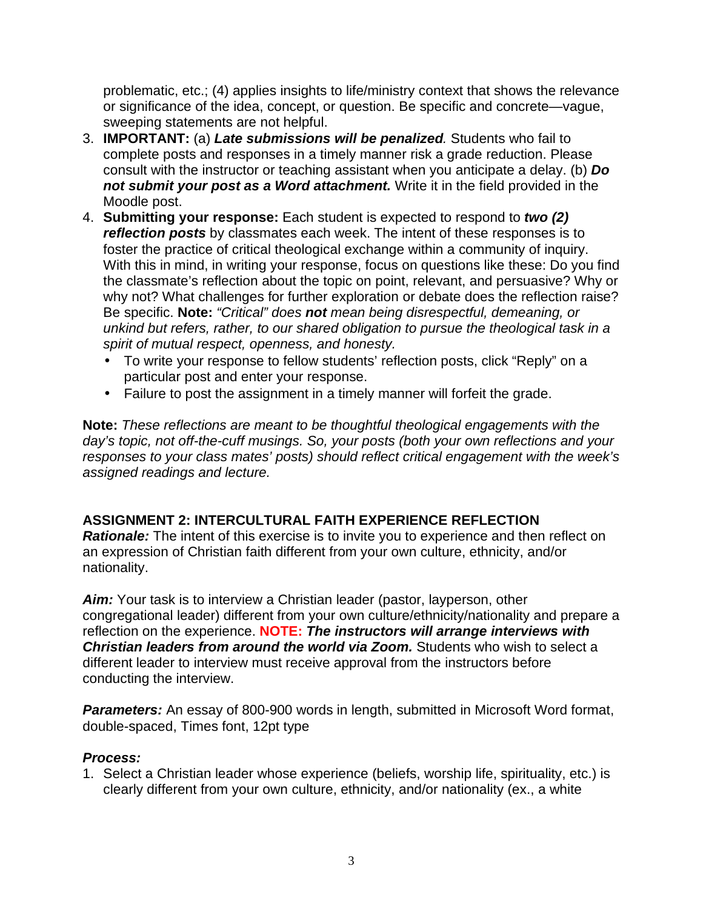problematic, etc.; (4) applies insights to life/ministry context that shows the relevance or significance of the idea, concept, or question. Be specific and concrete—vague, sweeping statements are not helpful.

- 3. **IMPORTANT:** (a) **Late submissions will be penalized**. Students who fail to complete posts and responses in a timely manner risk a grade reduction. Please consult with the instructor or teaching assistant when you anticipate a delay. (b) **Do not submit your post as a Word attachment.** Write it in the field provided in the Moodle post.
- 4. **Submitting your response:** Each student is expected to respond to **two (2) reflection posts** by classmates each week. The intent of these responses is to foster the practice of critical theological exchange within a community of inquiry. With this in mind, in writing your response, focus on questions like these: Do you find the classmate's reflection about the topic on point, relevant, and persuasive? Why or why not? What challenges for further exploration or debate does the reflection raise? Be specific. **Note:** "Critical" does **not** mean being disrespectful, demeaning, or unkind but refers, rather, to our shared obligation to pursue the theological task in a spirit of mutual respect, openness, and honesty.
	- To write your response to fellow students' reflection posts, click "Reply" on a particular post and enter your response.
	- Failure to post the assignment in a timely manner will forfeit the grade.

**Note:** These reflections are meant to be thoughtful theological engagements with the day's topic, not off-the-cuff musings. So, your posts (both your own reflections and your responses to your class mates' posts) should reflect critical engagement with the week's assigned readings and lecture.

# **ASSIGNMENT 2: INTERCULTURAL FAITH EXPERIENCE REFLECTION**

**Rationale:** The intent of this exercise is to invite you to experience and then reflect on an expression of Christian faith different from your own culture, ethnicity, and/or nationality.

**Aim:** Your task is to interview a Christian leader (pastor, layperson, other congregational leader) different from your own culture/ethnicity/nationality and prepare a reflection on the experience. **NOTE: The instructors will arrange interviews with Christian leaders from around the world via Zoom.** Students who wish to select a different leader to interview must receive approval from the instructors before conducting the interview.

**Parameters:** An essay of 800-900 words in length, submitted in Microsoft Word format, double-spaced, Times font, 12pt type

#### **Process:**

1. Select a Christian leader whose experience (beliefs, worship life, spirituality, etc.) is clearly different from your own culture, ethnicity, and/or nationality (ex., a white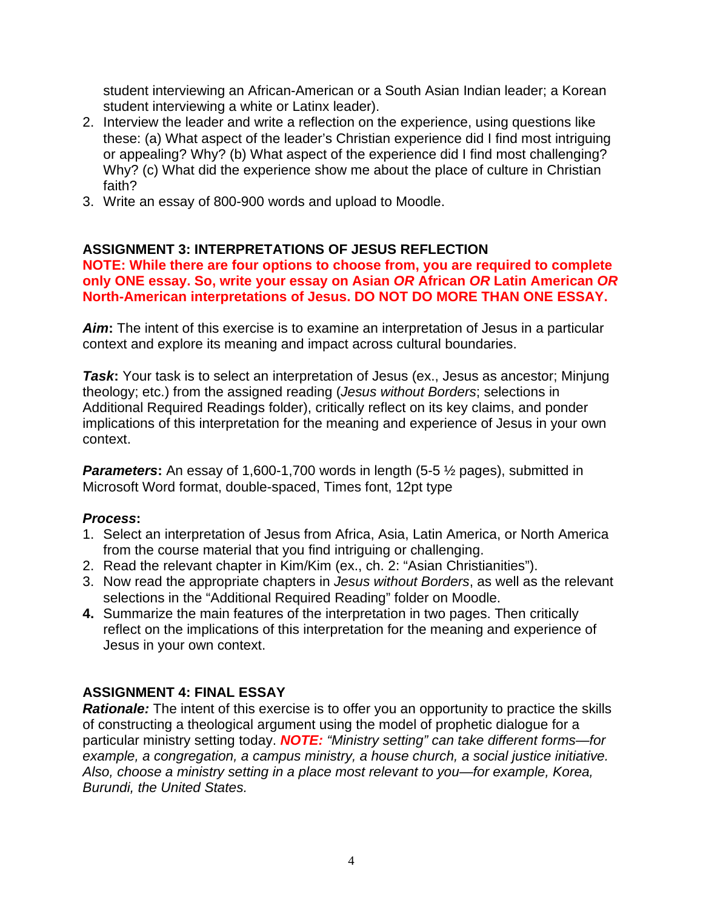student interviewing an African-American or a South Asian Indian leader; a Korean student interviewing a white or Latinx leader).

- 2. Interview the leader and write a reflection on the experience, using questions like these: (a) What aspect of the leader's Christian experience did I find most intriguing or appealing? Why? (b) What aspect of the experience did I find most challenging? Why? (c) What did the experience show me about the place of culture in Christian faith?
- 3. Write an essay of 800-900 words and upload to Moodle.

## **ASSIGNMENT 3: INTERPRETATIONS OF JESUS REFLECTION**

**NOTE: While there are four options to choose from, you are required to complete only ONE essay. So, write your essay on Asian OR African OR Latin American OR North-American interpretations of Jesus. DO NOT DO MORE THAN ONE ESSAY.** 

**Aim:** The intent of this exercise is to examine an interpretation of Jesus in a particular context and explore its meaning and impact across cultural boundaries.

**Task:** Your task is to select an interpretation of Jesus (ex., Jesus as ancestor; Minjung theology; etc.) from the assigned reading (Jesus without Borders; selections in Additional Required Readings folder), critically reflect on its key claims, and ponder implications of this interpretation for the meaning and experience of Jesus in your own context.

**Parameters:** An essay of 1,600-1,700 words in length (5-5  $\frac{1}{2}$  pages), submitted in Microsoft Word format, double-spaced, Times font, 12pt type

#### **Process:**

- 1. Select an interpretation of Jesus from Africa, Asia, Latin America, or North America from the course material that you find intriguing or challenging.
- 2. Read the relevant chapter in Kim/Kim (ex., ch. 2: "Asian Christianities").
- 3. Now read the appropriate chapters in Jesus without Borders, as well as the relevant selections in the "Additional Required Reading" folder on Moodle.
- **4.** Summarize the main features of the interpretation in two pages. Then critically reflect on the implications of this interpretation for the meaning and experience of Jesus in your own context.

# **ASSIGNMENT 4: FINAL ESSAY**

**Rationale:** The intent of this exercise is to offer you an opportunity to practice the skills of constructing a theological argument using the model of prophetic dialogue for a particular ministry setting today. **NOTE:** "Ministry setting" can take different forms—for example, a congregation, a campus ministry, a house church, a social justice initiative. Also, choose a ministry setting in a place most relevant to you—for example, Korea, Burundi, the United States.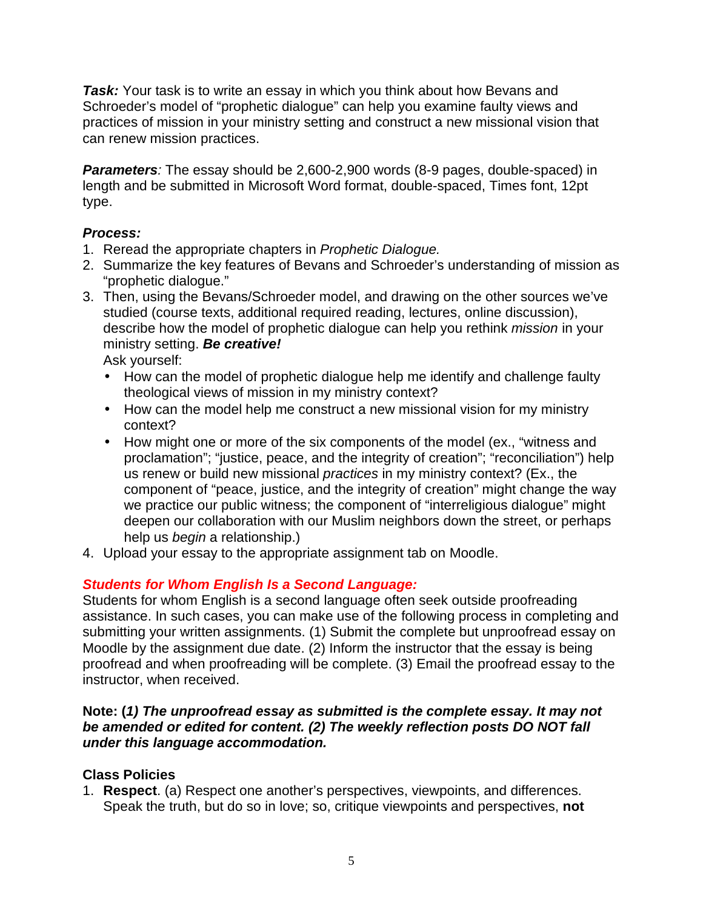**Task:** Your task is to write an essay in which you think about how Bevans and Schroeder's model of "prophetic dialogue" can help you examine faulty views and practices of mission in your ministry setting and construct a new missional vision that can renew mission practices.

**Parameters**: The essay should be 2,600-2,900 words (8-9 pages, double-spaced) in length and be submitted in Microsoft Word format, double-spaced, Times font, 12pt type.

# **Process:**

- 1. Reread the appropriate chapters in Prophetic Dialogue.
- 2. Summarize the key features of Bevans and Schroeder's understanding of mission as "prophetic dialogue."
- 3. Then, using the Bevans/Schroeder model, and drawing on the other sources we've studied (course texts, additional required reading, lectures, online discussion), describe how the model of prophetic dialogue can help you rethink *mission* in your ministry setting. **Be creative!**

Ask yourself:

- How can the model of prophetic dialogue help me identify and challenge faulty theological views of mission in my ministry context?
- How can the model help me construct a new missional vision for my ministry context?
- How might one or more of the six components of the model (ex., "witness and proclamation"; "justice, peace, and the integrity of creation"; "reconciliation") help us renew or build new missional practices in my ministry context? (Ex., the component of "peace, justice, and the integrity of creation" might change the way we practice our public witness; the component of "interreligious dialogue" might deepen our collaboration with our Muslim neighbors down the street, or perhaps help us *begin* a relationship.)
- 4. Upload your essay to the appropriate assignment tab on Moodle.

# **Students for Whom English Is a Second Language:**

Students for whom English is a second language often seek outside proofreading assistance. In such cases, you can make use of the following process in completing and submitting your written assignments. (1) Submit the complete but unproofread essay on Moodle by the assignment due date. (2) Inform the instructor that the essay is being proofread and when proofreading will be complete. (3) Email the proofread essay to the instructor, when received.

## **Note: (1) The unproofread essay as submitted is the complete essay. It may not be amended or edited for content. (2) The weekly reflection posts DO NOT fall under this language accommodation.**

# **Class Policies**

1. **Respect**. (a) Respect one another's perspectives, viewpoints, and differences. Speak the truth, but do so in love; so, critique viewpoints and perspectives, **not**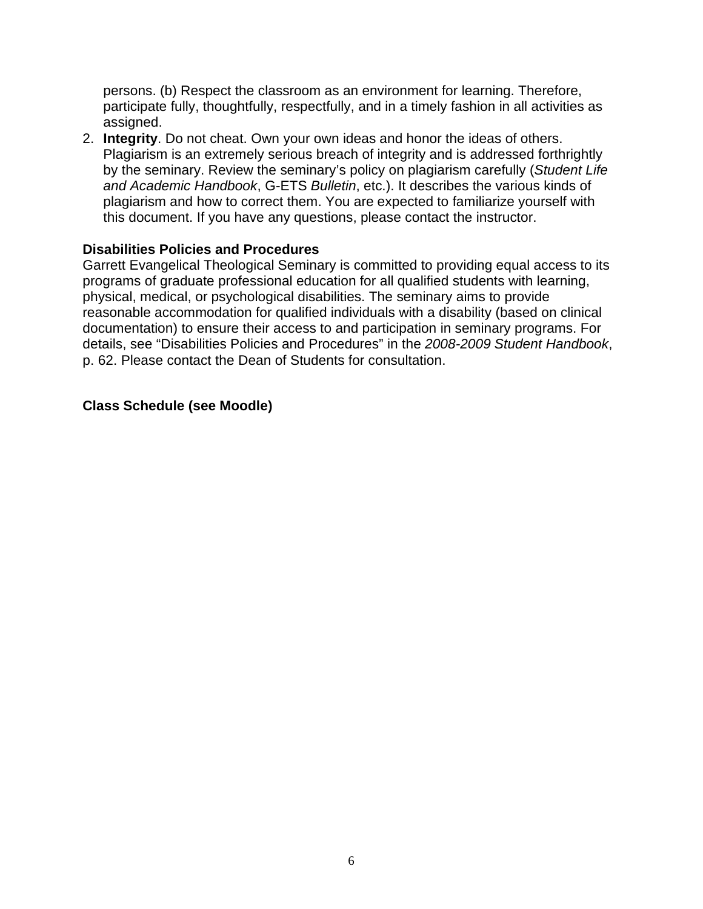persons. (b) Respect the classroom as an environment for learning. Therefore, participate fully, thoughtfully, respectfully, and in a timely fashion in all activities as assigned.

2. **Integrity**. Do not cheat. Own your own ideas and honor the ideas of others. Plagiarism is an extremely serious breach of integrity and is addressed forthrightly by the seminary. Review the seminary's policy on plagiarism carefully (Student Life and Academic Handbook, G-ETS Bulletin, etc.). It describes the various kinds of plagiarism and how to correct them. You are expected to familiarize yourself with this document. If you have any questions, please contact the instructor.

#### **Disabilities Policies and Procedures**

Garrett Evangelical Theological Seminary is committed to providing equal access to its programs of graduate professional education for all qualified students with learning, physical, medical, or psychological disabilities. The seminary aims to provide reasonable accommodation for qualified individuals with a disability (based on clinical documentation) to ensure their access to and participation in seminary programs. For details, see "Disabilities Policies and Procedures" in the 2008-2009 Student Handbook, p. 62. Please contact the Dean of Students for consultation.

# **Class Schedule (see Moodle)**